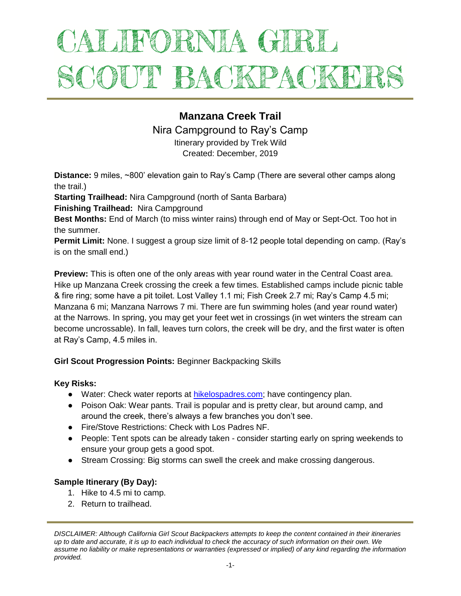# ALIFORNIA GIRL SCOUT BACKPACKEL

# **Manzana Creek Trail**

Nira Campground to Ray's Camp

Itinerary provided by Trek Wild Created: December, 2019

**Distance:** 9 miles, ~800' elevation gain to Ray's Camp (There are several other camps along the trail.)

**Starting Trailhead:** Nira Campground (north of Santa Barbara)

**Finishing Trailhead:** Nira Campground

**Best Months:** End of March (to miss winter rains) through end of May or Sept-Oct. Too hot in the summer.

**Permit Limit:** None. I suggest a group size limit of 8-12 people total depending on camp. (Ray's is on the small end.)

**Preview:** This is often one of the only areas with year round water in the Central Coast area. Hike up Manzana Creek crossing the creek a few times. Established camps include picnic table & fire ring; some have a pit toilet. Lost Valley 1.1 mi; Fish Creek 2.7 mi; Ray's Camp 4.5 mi; Manzana 6 mi; Manzana Narrows 7 mi. There are fun swimming holes (and year round water) at the Narrows. In spring, you may get your feet wet in crossings (in wet winters the stream can become uncrossable). In fall, leaves turn colors, the creek will be dry, and the first water is often at Ray's Camp, 4.5 miles in.

# **Girl Scout Progression Points:** Beginner Backpacking Skills

## **Key Risks:**

- Water: Check water reports at [hikelospadres.com;](http://www.hikelospadres.com/) have contingency plan.
- Poison Oak: Wear pants. Trail is popular and is pretty clear, but around camp, and around the creek, there's always a few branches you don't see.
- Fire/Stove Restrictions: Check with Los Padres NF.
- People: Tent spots can be already taken consider starting early on spring weekends to ensure your group gets a good spot.
- Stream Crossing: Big storms can swell the creek and make crossing dangerous.

# **Sample Itinerary (By Day):**

- 1. Hike to 4.5 mi to camp.
- 2. Return to trailhead.

*DISCLAIMER: Although California Girl Scout Backpackers attempts to keep the content contained in their itineraries up to date and accurate, it is up to each individual to check the accuracy of such information on their own. We assume no liability or make representations or warranties (expressed or implied) of any kind regarding the information provided.*